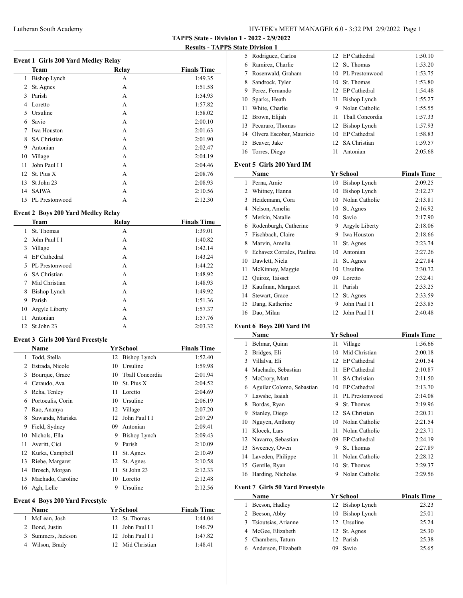# Lutheran South Academy HY-TEK's MEET MANAGER 6.0 - 3:32 PM 2/9/2022 Page 1

**TAPPS State - Division 1 - 2022 - 2/9/2022**

**Results - TAPPS State Division 1**

| <b>Event 1 Girls 200 Yard Medley Relay</b> |  |
|--------------------------------------------|--|
|                                            |  |

|              | <b>Team</b>         | Relay | <b>Finals Time</b> |
|--------------|---------------------|-------|--------------------|
| 1            | Bishop Lynch        | А     | 1:49.35            |
| 2            | St. Agnes           | А     | 1:51.58            |
| $\mathbf{3}$ | Parish              | А     | 1:54.93            |
| 4            | Loretto             | A     | 1:57.82            |
| 5            | Ursuline            | А     | 1:58.02            |
| 6            | Savio               | А     | 2:00.10            |
| 7            | Iwa Houston         | А     | 2:01.63            |
| 8            | <b>SA Christian</b> | A     | 2:01.90            |
| 9            | Antonian            | А     | 2:02.47            |
| 10           | Village             | A     | 2:04.19            |
| 11           | John Paul I I       | А     | 2:04.46            |
| 12           | St. Pius X          | А     | 2:08.76            |
| 13           | St John 23          | A     | 2:08.93            |
| 14           | <b>SAIWA</b>        | А     | 2:10.56            |
| 15           | PL Prestonwood      | А     | 2:12.30            |

# **Event 2 Boys 200 Yard Medley Relay**

 $\overline{a}$ 

|                | <b>Team</b>         | Relay | <b>Finals Time</b> |
|----------------|---------------------|-------|--------------------|
|                | St. Thomas          | А     | 1:39.01            |
| $\mathfrak{D}$ | John Paul I I       | А     | 1:40.82            |
| 3              | Village             | А     | 1:42.14            |
| 4              | EP Cathedral        | A     | 1:43.24            |
| 5.             | PL Prestonwood      | A     | 1:44.22            |
| 6              | <b>SA Christian</b> | A     | 1:48.92            |
|                | Mid Christian       | A     | 1:48.93            |
| 8              | Bishop Lynch        | A     | 1:49.92            |
| 9              | Parish              | А     | 1:51.36            |
| 10             | Argyle Liberty      | А     | 1:57.37            |
| 11             | Antonian            | A     | 1:57.76            |
| 12             | St John 23          | А     | 2:03.32            |

# **Event 3 Girls 200 Yard Freestyle**

|    | Name              |    | <b>Yr School</b> | <b>Finals Time</b> |
|----|-------------------|----|------------------|--------------------|
| 1  | Todd, Stella      |    | 12 Bishop Lynch  | 1:52.40            |
| 2  | Estrada, Nicole   | 10 | Ursuline         | 1:59.98            |
| 3  | Bourque, Grace    | 10 | Thall Concordia  | 2:01.94            |
| 4  | Ceraudo, Ava      | 10 | St. Pius X       | 2:04.52            |
| 5  | Reha, Tenley      | 11 | Loretto          | 2:04.69            |
| 6  | Portocalis, Corin | 10 | Ursuline         | 2:06.19            |
| 7  | Rao, Ananya       | 12 | Village          | 2:07.20            |
| 8  | Suwanda, Mariska  | 12 | John Paul I I    | 2:07.29            |
| 9  | Field, Sydney     | 09 | Antonian         | 2:09.41            |
| 10 | Nichols, Ella     | 9  | Bishop Lynch     | 2:09.43            |
| 11 | Averitt, Cici     | 9  | Parish           | 2:10.09            |
| 12 | Kurka, Campbell   | 11 | St. Agnes        | 2:10.49            |
| 13 | Riebe, Margaret   | 12 | St. Agnes        | 2:10.58            |
| 14 | Brosch, Morgan    | 11 | St John 23       | 2:12.33            |
| 15 | Machado, Caroline | 10 | Loretto          | 2:12.48            |
| 16 | Agh, Lelle        | 9  | Ursuline         | 2:12.56            |

### **Event 4 Boys 200 Yard Freestyle**

| <b>Name</b>        | Yr School        | <b>Finals Time</b> |
|--------------------|------------------|--------------------|
| McLean, Josh       | 12 St. Thomas    | 1:44.04            |
| 2 Bond, Justin     | 11 John Paul I I | 1:46.79            |
| 3 Summers, Jackson | 12 John Paul I I | 1:47.82            |
| 4 Wilson, Brady    | 12 Mid Christian | 1:48.41            |

|    | 5 Rodriguez, Carlos         |    | 12 EP Cathedral   | 1:50.10 |
|----|-----------------------------|----|-------------------|---------|
| 6  | Ramirez, Charlie            |    | 12 St. Thomas     | 1:53.20 |
| 7  | Rosenwald, Graham           |    | 10 PL Prestonwood | 1:53.75 |
| 8  | Sandrock, Tyler             |    | 10 St. Thomas     | 1:53.80 |
| 9  | Perez, Fernando             |    | 12 EP Cathedral   | 1:54.48 |
| 10 | Sparks, Heath               |    | 11 Bishop Lynch   | 1:55.27 |
| 11 | White, Charlie              | 9  | Nolan Catholic    | 1:55.55 |
|    | 12 Brown, Elijah            | 11 | Thall Concordia   | 1:57.33 |
|    | 13 Pecararo, Thomas         |    | 12 Bishop Lynch   | 1:57.93 |
|    | 14 Olvera Escobar, Mauricio | 10 | EP Cathedral      | 1:58.83 |
| 15 | Beaver, Jake                |    | 12 SA Christian   | 1:59.57 |
| 16 | Torres, Diego               | 11 | Antonian          | 2:05.68 |

# **Event 5 Girls 200 Yard IM**

| Name |                           |    | <b>Yr School</b> | <b>Finals Time</b> |
|------|---------------------------|----|------------------|--------------------|
| 1    | Perna, Amie               | 10 | Bishop Lynch     | 2:09.25            |
| 2    | Whitney, Hanna            | 10 | Bishop Lynch     | 2:12.27            |
| 3    | Heidemann, Cora           | 10 | Nolan Catholic   | 2:13.81            |
| 4    | Nelson, Amelia            | 10 | St. Agnes        | 2:16.92            |
| 5    | Merkin, Natalie           | 10 | Savio            | 2:17.90            |
| 6    | Rodenburgh, Catherine     | 9  | Argyle Liberty   | 2:18.06            |
| 7    | Fischbach, Claire         | 9  | Iwa Houston      | 2:18.66            |
| 8    | Marvin, Amelia            | 11 | St. Agnes        | 2:23.74            |
| 9    | Echavez Corrales, Paulina | 10 | Antonian         | 2:27.26            |
| 10   | Dawlett, Niela            | 11 | St. Agnes        | 2:27.84            |
| 11   | McKinney, Maggie          | 10 | Ursuline         | 2:30.72            |
| 12   | Quiroz, Taisset           | 09 | Loretto          | 2:32.41            |
| 13   | Kaufman, Margaret         | 11 | Parish           | 2:33.25            |
| 14   | Stewart, Grace            | 12 | St. Agnes        | 2:33.59            |
| 15   | Dang, Katherine           | 9  | John Paul I I    | 2:33.85            |
| 16   | Dao, Milan                | 12 | John Paul I I    | 2:40.48            |

# **Event 6 Boys 200 Yard IM**

|    | Name                      |    | Yr School           | <b>Finals Time</b> |
|----|---------------------------|----|---------------------|--------------------|
| 1  | Belmar, Quinn             | 11 | Village             | 1:56.66            |
| 2  | Bridges, Eli              | 10 | Mid Christian       | 2:00.18            |
| 3  | Villalva, Eli             | 12 | EP Cathedral        | 2:01.54            |
| 4  | Machado, Sebastian        | 11 | EP Cathedral        | 2:10.87            |
| 5  | McCrory, Matt             | 11 | <b>SA</b> Christian | 2:11.50            |
| 6  | Aguilar Colomo, Sebastian | 10 | <b>EP</b> Cathedral | 2:13.70            |
| 7  | Lawshe, Isaiah            | 11 | PL Prestonwood      | 2:14.08            |
| 8  | Bordas, Ryan              | 9  | St. Thomas          | 2:19.96            |
| 9  | Stanley, Diego            | 12 | <b>SA Christian</b> | 2:20.31            |
| 10 | Nguyen, Anthony           | 10 | Nolan Catholic      | 2:21.54            |
| 11 | Klocek, Lars              | 11 | Nolan Catholic      | 2:23.71            |
| 12 | Navarro, Sebastian        | 09 | <b>EP</b> Cathedral | 2:24.19            |
| 13 | Sweeney, Owen             | 9  | St. Thomas          | 2:27.89            |
| 14 | Laveden, Philippe         | 11 | Nolan Catholic      | 2:28.12            |
| 15 | Gentile, Ryan             | 10 | St. Thomas          | 2:29.37            |
| 16 | Harding, Nicholas         | 9  | Nolan Catholic      | 2:29.56            |

# **Event 7 Girls 50 Yard Freestyle**

 $\frac{1}{2}$ 

| <b>Name</b>           | Yr School       | <b>Finals Time</b> |
|-----------------------|-----------------|--------------------|
| Beeson, Hadley        | 12 Bishop Lynch | 23.23              |
| Beeson, Abby          | 10 Bishop Lynch | 25.01              |
| 3 Tsioutsias, Arianne | 12 Ursuline     | 25.24              |
| McGee, Elizabeth      | 12 St. Agnes    | 25.30              |
| Chambers, Tatum       | 12 Parish       | 25.38              |
| Anderson, Elizabeth   | Savio           | 25.65              |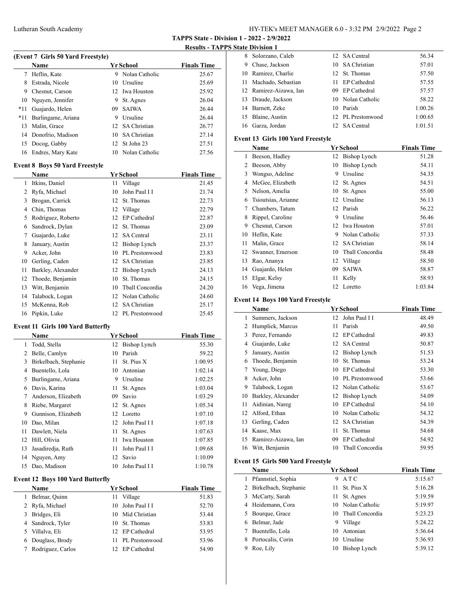# Lutheran South Academy HY-TEK's MEET MANAGER 6.0 - 3:32 PM 2/9/2022 Page 2

**TAPPS State - Division 1 - 2022 - 2/9/2022**

**Results - TAPPS State Division 1**

|     | Name                 | Yr School |                   | <b>Finals Time</b> |
|-----|----------------------|-----------|-------------------|--------------------|
|     | 7 Heflin, Kate       | 9         | Nolan Catholic    | 25.67              |
| 8   | Estrada, Nicole      |           | 10 Ursuline       | 25.69              |
| 9   | Chesnut, Carson      |           | 12 Iwa Houston    | 25.92              |
|     | 10 Nguyen, Jennifer  | 9         | St. Agnes         | 26.04              |
| *11 | Guajardo, Helen      | 09.       | <b>SAIWA</b>      | 26.44              |
| *11 | Burlingame, Ariana   | 9         | Ursuline          | 26.44              |
| 13  | Malin, Grace         |           | 12 SA Christian   | 26.77              |
|     | 14 Donofrio, Madison |           | 10 SA Christian   | 27.14              |
| 15  | Docog, Gabby         |           | 12 St John 23     | 27.51              |
| 16  | Endres, Mary Kate    |           | 10 Nolan Catholic | 27.56              |
|     |                      |           |                   |                    |

### **Event 8 Boys 50 Yard Freestyle**

| Name |                    |    | <b>Yr School</b>    | <b>Finals Time</b> |
|------|--------------------|----|---------------------|--------------------|
| 1    | Itkins, Daniel     | 11 | Village             | 21.45              |
| 2    | Ryfa, Michael      | 10 | John Paul I I       | 21.74              |
| 3    | Brogan, Carrick    | 12 | St. Thomas          | 22.73              |
| 4    | Chin, Thomas       | 12 | Village             | 22.79              |
| 5    | Rodriguez, Roberto | 12 | EP Cathedral        | 22.87              |
| 6    | Sandrock, Dylan    | 12 | St. Thomas          | 23.09              |
| 7    | Guajardo, Luke     | 12 | <b>SA</b> Central   | 23.11              |
| 8    | January, Austin    | 12 | Bishop Lynch        | 23.37              |
| 9    | Acker, John        | 10 | PL Prestonwood      | 23.83              |
| 10   | Gerling, Caden     | 12 | <b>SA Christian</b> | 23.85              |
| 11   | Barkley, Alexander | 12 | Bishop Lynch        | 24.13              |
| 12   | Thoede, Benjamin   | 10 | St. Thomas          | 24.15              |
| 13   | Witt, Benjamin     | 10 | Tball Concordia     | 24.20              |
| 14   | Talabock, Logan    | 12 | Nolan Catholic      | 24.60              |
| 15   | McKenna, Rob       | 12 | <b>SA Christian</b> | 25.17              |
| 16   | Pipkin, Luke       | 12 | PL Prestonwood      | 25.45              |

#### **Event 11 Girls 100 Yard Butterfly**

|    | Name                  |    | <b>Yr School</b> | <b>Finals Time</b> |
|----|-----------------------|----|------------------|--------------------|
| 1  | Todd, Stella          |    | 12 Bishop Lynch  | 55.30              |
| 2  | Belle, Camlyn         | 10 | Parish           | 59.22              |
| 3  | Birkelbach, Stephanie | 11 | St. Pius X       | 1:00.95            |
| 4  | Buentello, Lola       | 10 | Antonian         | 1:02.14            |
| 5  | Burlingame, Ariana    | 9  | Ursuline         | 1:02.25            |
| 6  | Davis, Karina         | 11 | St. Agnes        | 1:03.04            |
| 7  | Anderson, Elizabeth   | 09 | Savio            | 1:03.29            |
| 8  | Riebe, Margaret       |    | 12 St. Agnes     | 1:05.34            |
| 9  | Gunnison, Elizabeth   | 12 | Loretto          | 1:07.10            |
| 10 | Dao, Milan            | 12 | John Paul I I    | 1:07.18            |
| 11 | Dawlett, Niela        | 11 | St. Agnes        | 1:07.63            |
| 12 | Hill, Olivia          | 11 | Iwa Houston      | 1:07.85            |
| 13 | Jasadiredja, Ruth     | 11 | John Paul I I    | 1:09.68            |
| 14 | Nguyen, Amy           | 12 | Savio            | 1:10.09            |
| 15 | Dao, Madison          | 10 | John Paul I I    | 1:10.78            |

# **Event 12 Boys 100 Yard Butterfly**

 $\overline{\phantom{0}}$ 

| <b>Name</b>       | <b>Yr School</b> |                   | <b>Finals Time</b> |
|-------------------|------------------|-------------------|--------------------|
| Belmar, Quinn     | 11 Village       |                   | 51.83              |
| 2 Ryfa, Michael   |                  | 10 John Paul I I  | 52.70              |
| 3 Bridges, Eli    |                  | 10 Mid Christian  | 53.44              |
| 4 Sandrock, Tyler |                  | 10 St. Thomas     | 53.83              |
| 5 Villalva, Eli   |                  | 12 EP Cathedral   | 53.95              |
| 6 Douglass, Brody |                  | 11 PL Prestonwood | 53.96              |
| Rodriguez, Carlos |                  | 12 EP Cathedral   | 54.90              |

|   | 8 Solorzano, Caleb     | 12 SA Central     | 56.34   |
|---|------------------------|-------------------|---------|
| 9 | Chase, Jackson         | 10 SA Christian   | 57.01   |
|   | 10 Ramirez, Charlie    | 12 St. Thomas     | 57.50   |
|   | 11 Machado, Sebastian  | 11 EP Cathedral   | 57.55   |
|   | 12 Ramirez-Aizawa, Ian | 09 EP Cathedral   | 57.57   |
|   | 13 Draude, Jackson     | 10 Nolan Catholic | 58.22   |
|   | 14 Barnett, Zeke       | 10 Parish         | 1:00.26 |
|   | 15 Blaine, Austin      | 12 PL Prestonwood | 1:00.65 |
|   | 16 Garza, Jordan       | 12 SA Central     | 1:01.51 |

### **Event 13 Girls 100 Yard Freestyle**

|    | Name                |    | Yr School           | <b>Finals Time</b> |
|----|---------------------|----|---------------------|--------------------|
| 1  | Beeson, Hadley      | 12 | Bishop Lynch        | 51.28              |
| 2  | Beeson, Abby        | 10 | <b>Bishop Lynch</b> | 54.11              |
| 3  | Wongso, Adeline     | 9  | Ursuline            | 54.35              |
| 4  | McGee, Elizabeth    | 12 | St. Agnes           | 54.51              |
| 5  | Nelson, Amelia      | 10 | St. Agnes           | 55.00              |
| 6  | Tsioutsias, Arianne | 12 | Ursuline            | 56.13              |
| 7  | Chambers, Tatum     | 12 | Parish              | 56.22              |
| 8  | Rippel, Caroline    | 9  | Ursuline            | 56.46              |
| 9  | Chesnut, Carson     | 12 | Iwa Houston         | 57.01              |
| 10 | Heflin, Kate        | 9  | Nolan Catholic      | 57.33              |
| 11 | Malin, Grace        | 12 | <b>SA Christian</b> | 58.14              |
| 12 | Swanner, Emerson    | 10 | Tball Concordia     | 58.48              |
| 13 | Rao, Ananya         | 12 | Village             | 58.50              |
| 14 | Guajardo, Helen     | 09 | <b>SAIWA</b>        | 58.87              |
| 15 | Elgar, Kelsy        | 11 | Kelly               | 58.93              |
| 16 | Vega, Jimena        |    | 12 Loretto          | 1:03.84            |

# **Event 14 Boys 100 Yard Freestyle**

 $\overline{\phantom{a}}$ 

|    | Name                |    | Yr School           | <b>Finals Time</b> |
|----|---------------------|----|---------------------|--------------------|
| 1  | Summers, Jackson    | 12 | John Paul I I       | 48.49              |
| 2  | Humplick, Marcus    | 11 | Parish              | 49.50              |
| 3  | Perez, Fernando     | 12 | EP Cathedral        | 49.83              |
| 4  | Guajardo, Luke      | 12 | <b>SA</b> Central   | 50.87              |
| 5  | January, Austin     | 12 | Bishop Lynch        | 51.53              |
| 6  | Thoede, Benjamin    | 10 | St. Thomas          | 53.24              |
| 7  | Young, Diego        | 10 | EP Cathedral        | 53.30              |
| 8  | Acker, John         | 10 | PL Prestonwood      | 53.66              |
| 9  | Talabock, Logan     | 12 | Nolan Catholic      | 53.67              |
| 10 | Barkley, Alexander  | 12 | Bishop Lynch        | 54.09              |
| 11 | Aidinian, Nareg     | 10 | EP Cathedral        | 54.10              |
| 12 | Alford, Ethan       | 10 | Nolan Catholic      | 54.32              |
| 13 | Gerling, Caden      | 12 | <b>SA Christian</b> | 54.39              |
| 14 | Kaase, Max          | 11 | St. Thomas          | 54.68              |
| 15 | Ramirez-Aizawa, Ian | 09 | EP Cathedral        | 54.92              |
| 16 | Witt, Benjamin      | 10 | Tball Concordia     | 59.95              |

# **Event 15 Girls 500 Yard Freestyle**

|   | Name                    |     | Yr School         | <b>Finals Time</b> |
|---|-------------------------|-----|-------------------|--------------------|
|   | Pfannstiel, Sophia      | 9   | ATC               | 5:15.67            |
|   | 2 Birkelbach, Stephanie | 11  | St. Pius X        | 5:16.28            |
|   | 3 McCarty, Sarah        |     | 11 St. Agnes      | 5:19.59            |
|   | 4 Heidemann, Cora       |     | 10 Nolan Catholic | 5:19.97            |
|   | 5 Bourque, Grace        | 10. | Thall Concordia   | 5:23.23            |
| 6 | Belmar, Jade            | 9   | Village           | 5:24.22            |
|   | Buentello, Lola         | 10  | Antonian          | 5:36.64            |
| 8 | Portocalis, Corin       | 10  | Ursuline          | 5:36.93            |
| 9 | Roe, Lily               | 10  | Bishop Lynch      | 5:39.12            |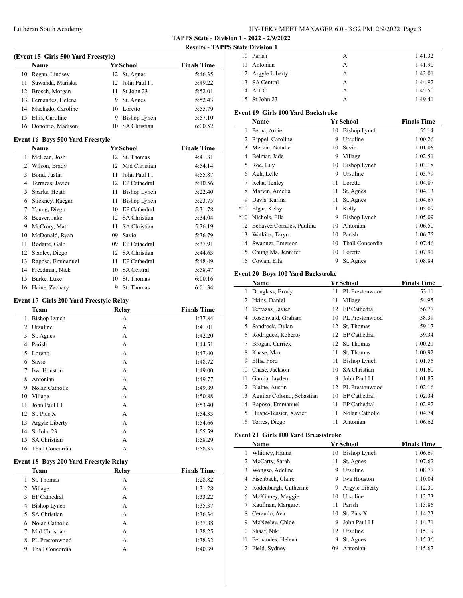# Lutheran South Academy HY-TEK's MEET MANAGER 6.0 - 3:32 PM 2/9/2022 Page 3

**TAPPS State - Division 1 - 2022 - 2/9/2022**

**Results - TAPPS S** 

|    | (Event 15 Girls 500 Yard Freestyle) |     |                     |                    |  |  |
|----|-------------------------------------|-----|---------------------|--------------------|--|--|
|    | <b>Name</b>                         |     | Yr School           | <b>Finals Time</b> |  |  |
| 10 | Regan, Lindsey                      |     | 12 St. Agnes        | 5:46.35            |  |  |
|    | 11 Suwanda, Mariska                 |     | 12 John Paul I I    | 5:49.22            |  |  |
|    | 12 Brosch, Morgan                   | 11. | St John 23          | 5:52.01            |  |  |
|    | 13 Fernandes, Helena                | 9.  | St. Agnes           | 5:52.43            |  |  |
|    | 14 Machado, Caroline                | 10  | Loretto             | 5:55.79            |  |  |
| 15 | Ellis, Caroline                     | 9   | Bishop Lynch        | 5:57.10            |  |  |
|    | 16 Donofrio, Madison                | 10  | <b>SA Christian</b> | 6:00.52            |  |  |

#### **Event 16 Boys 500 Yard Freestyle**

|    | <b>Name</b>      |    | Yr School           | <b>Finals Time</b> |
|----|------------------|----|---------------------|--------------------|
| 1  | McLean, Josh     | 12 | St. Thomas          | 4:41.31            |
| 2  | Wilson, Brady    | 12 | Mid Christian       | 4:54.14            |
| 3  | Bond, Justin     | 11 | John Paul I I       | 4:55.87            |
| 4  | Terrazas, Javier | 12 | EP Cathedral        | 5:10.56            |
| 5  | Sparks, Heath    | 11 | Bishop Lynch        | 5:22.40            |
| 6  | Stickney, Raegan | 11 | Bishop Lynch        | 5:23.75            |
| 7  | Young, Diego     | 10 | EP Cathedral        | 5:31.78            |
| 8  | Beaver, Jake     | 12 | <b>SA Christian</b> | 5:34.04            |
| 9  | McCrory, Matt    | 11 | <b>SA Christian</b> | 5:36.19            |
| 10 | McDonald, Ryan   | 09 | Savio               | 5:36.79            |
| 11 | Rodarte, Galo    | 09 | EP Cathedral        | 5:37.91            |
| 12 | Stanley, Diego   | 12 | <b>SA Christian</b> | 5:44.63            |
| 13 | Raposo, Emmanuel | 11 | EP Cathedral        | 5:48.49            |
| 14 | Freedman, Nick   | 10 | <b>SA</b> Central   | 5:58.47            |
| 15 | Burke, Luke      | 10 | St. Thomas          | 6:00.16            |
| 16 | Haine, Zachary   | 9  | St. Thomas          | 6:01.34            |

#### **Event 17 Girls 200 Yard Freestyle Relay**

|                | Team                | Relav | <b>Finals Time</b> |
|----------------|---------------------|-------|--------------------|
| 1              | <b>Bishop Lynch</b> | А     | 1:37.84            |
| $\mathfrak{D}$ | Ursuline            | А     | 1:41.01            |
| 3              | St. Agnes           | A     | 1:42.20            |
| 4              | Parish              | A     | 1:44.51            |
| 5              | Loretto             | A     | 1:47.40            |
| 6              | Savio               | A     | 1:48.72            |
| 7              | <b>Iwa Houston</b>  | А     | 1:49.00            |
| 8              | Antonian            | A     | 1:49.77            |
| 9              | Nolan Catholic      | A     | 1:49.89            |
| 10             | Village             | A     | 1:50.88            |
| 11             | John Paul I I       | A     | 1:53.40            |
| 12             | St. Pius X          | А     | 1:54.33            |
| 13             | Argyle Liberty      | А     | 1:54.66            |
| 14             | St John 23          | A     | 1:55.59            |
| 15             | <b>SA Christian</b> | А     | 1:58.29            |
| 16             | Tball Concordia     | А     | 1:58.35            |
|                |                     |       |                    |

# **Event 18 Boys 200 Yard Freestyle Relay**

| Team                 | Relav | <b>Finals Time</b> |
|----------------------|-------|--------------------|
| St. Thomas           | А     | 1:28.82            |
| 2 Village            | А     | 1:31.28            |
| 3 EP Cathedral       | А     | 1:33.22            |
| 4 Bishop Lynch       | А     | 1:35.37            |
| 5 SA Christian       | A     | 1:36.34            |
| 6 Nolan Catholic     | A     | 1:37.88            |
| Mid Christian<br>7   | A     | 1:38.25            |
| PL Prestonwood<br>8  | A     | 1:38.32            |
| Thall Concordia<br>9 | А     | 1:40.39            |

|    | <b>State Division 1</b>                   |     |                     |                    |
|----|-------------------------------------------|-----|---------------------|--------------------|
|    | 10 Parish                                 |     | A                   | 1:41.32            |
| 11 | Antonian                                  |     | A                   | 1:41.90            |
|    | 12 Argyle Liberty                         |     | A                   | 1:43.01            |
|    | 13 SA Central                             |     | A                   | 1:44.92            |
|    | 14 ATC                                    |     | A                   | 1:45.50            |
|    | 15 St John 23                             |     | A                   | 1:49.41            |
|    | <b>Event 19 Girls 100 Yard Backstroke</b> |     |                     |                    |
|    | Name                                      |     | <b>Yr School</b>    | <b>Finals Time</b> |
| 1  | Perna, Amie                               | 10  | <b>Bishop Lynch</b> | 55.14              |
|    | 2 Rippel, Caroline                        | 9   | Ursuline            | 1:00.26            |
|    | 3 Merkin, Natalie                         | 10  | Savio               | 1:01.06            |
| 4  | Belmar, Jade                              |     | 9 Village           | 1:02.51            |
| 5  | Roe, Lily                                 | 10  | <b>Bishop Lynch</b> | 1:03.18            |
| 6  | Agh, Lelle                                | 9   | Ursuline            | 1:03.79            |
| 7  | Reha, Tenley                              | 11  | Loretto             | 1:04.07            |
| 8  | Marvin, Amelia                            | 11  | St. Agnes           | 1:04.13            |
| 9  | Davis, Karina                             | 11  | St. Agnes           | 1:04.67            |
|    | *10 Elgar, Kelsy                          | 11  | Kelly               | 1:05.09            |
|    | *10 Nichols, Ella                         | 9   | <b>Bishop Lynch</b> | 1:05.09            |
|    | 12 Echavez Corrales, Paulina              | 10  | Antonian            | 1:06.50            |
|    | 13 Watkins, Taryn                         | 10  | Parish              | 1:06.75            |
|    | 14 Swanner, Emerson                       | 10  | Thall Concordia     | 1:07.46            |
|    | 15 Chung Ma, Jennifer                     |     | 10 Loretto          | 1:07.91            |
|    | 16 Cowan, Ella                            | 9   | St. Agnes           | 1:08.84            |
|    | <b>Event 20 Boys 100 Yard Backstroke</b>  |     |                     |                    |
|    | Name                                      |     | <b>Yr School</b>    | <b>Finals Time</b> |
| 1  | Douglass, Brody                           | 11  | PL Prestonwood      | 53.11              |
|    | 2 Itkins, Daniel                          | 11  | Village             | 54.95              |
| 3  | Terrazas, Javier                          | 12  | EP Cathedral        | 56.77              |
| 4  | Rosenwald, Graham                         | 10  | PL Prestonwood      | 58.39              |
| 5  | Sandrock, Dylan                           | 12  | St. Thomas          | 59.17              |
| 6  | Rodriguez, Roberto                        | 12  | <b>EP</b> Cathedral | 59.34              |
| 7  | Brogan, Carrick                           | 12  | St. Thomas          | 1:00.21            |
| 8  | Kaase, Max                                | 11  | St. Thomas          | 1:00.92            |
| 9  | Ellis, Ford                               | 11. | <b>Bishop Lynch</b> | 1:01.56            |
|    | 10 Chase, Jackson                         | 10  | SA Christian        | 1:01.60            |
| 11 | Garcia, Jayden                            | 9   | John Paul I I       | 1:01.87            |
| 12 | Blaine, Austin                            | 12  | PL Prestonwood      | 1:02.16            |
| 13 | Aguilar Colomo, Sebastian                 | 10  | <b>EP</b> Cathedral | 1:02.34            |

#### **Event 21 Girls 100 Yard Breaststroke**

 $\overline{a}$ 

|    | Name                  |    | Yr School      | <b>Finals Time</b> |  |  |
|----|-----------------------|----|----------------|--------------------|--|--|
| 1  | Whitney, Hanna        | 10 | Bishop Lynch   | 1:06.69            |  |  |
| 2  | McCarty, Sarah        | 11 | St. Agnes      | 1:07.62            |  |  |
| 3  | Wongso, Adeline       | 9  | Ursuline       | 1:08.77            |  |  |
| 4  | Fischbach, Claire     | 9  | Iwa Houston    | 1:10.04            |  |  |
| 5. | Rodenburgh, Catherine | 9  | Argyle Liberty | 1:12.30            |  |  |
| 6  | McKinney, Maggie      | 10 | Ursuline       | 1:13.73            |  |  |
|    | Kaufman, Margaret     | 11 | Parish         | 1:13.86            |  |  |
| 8  | Ceraudo, Ava          | 10 | St. Pius X     | 1:14.23            |  |  |
| 9  | McNeeley, Chloe       | 9  | John Paul I I  | 1:14.71            |  |  |
| 10 | Shaaf, Niki           | 12 | Ursuline       | 1:15.19            |  |  |
| 11 | Fernandes, Helena     | 9  | St. Agnes      | 1:15.36            |  |  |
| 12 | Field, Sydney         | 09 | Antonian       | 1:15.62            |  |  |

14 Raposo, Emmanuel 11 EP Cathedral 1:02.92 Duane-Tessier, Xavier 11 Nolan Catholic 1:04.74 Torres, Diego 11 Antonian 1:06.62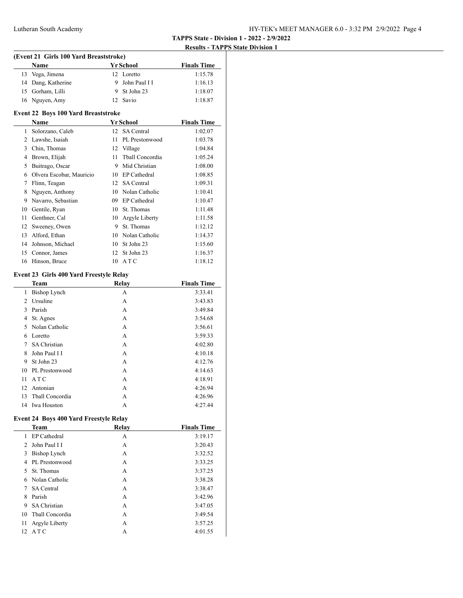# **TAPPS State - Division 1 - 2022 - 2/9/2022**

### **Results - TAPPS State Division 1**

| (Event 21 Girls 100 Yard Breaststroke) |                    |  |                  |                    |
|----------------------------------------|--------------------|--|------------------|--------------------|
|                                        | <b>Name</b>        |  | <b>Yr School</b> | <b>Finals Time</b> |
|                                        | 13 Vega, Jimena    |  | 12 Loretto       | 1:15.78            |
|                                        | 14 Dang, Katherine |  | 9 John Paul I I  | 1:16.13            |
|                                        | 15 Gorham, Lilli   |  | 9 St John 23     | 1:18.07            |
|                                        | 16 Nguyen, Amy     |  | 12 Savio         | 1:18.87            |

### **Event 22 Boys 100 Yard Breaststroke**

|    | <b>Name</b>              |    | Yr School         | <b>Finals Time</b> |
|----|--------------------------|----|-------------------|--------------------|
| 1  | Solorzano, Caleb         | 12 | <b>SA</b> Central | 1:02.07            |
| 2  | Lawshe, Isaiah           | 11 | PL Prestonwood    | 1:03.78            |
| 3  | Chin, Thomas             | 12 | Village           | 1:04.84            |
| 4  | Brown, Elijah            | 11 | Thall Concordia   | 1:05.24            |
| 5  | Buitrago, Oscar          | 9  | Mid Christian     | 1:08.00            |
| 6  | Olvera Escobar, Mauricio | 10 | EP Cathedral      | 1:08.85            |
| 7  | Flinn, Teagan            | 12 | <b>SA</b> Central | 1:09.31            |
| 8  | Nguyen, Anthony          | 10 | Nolan Catholic    | 1:10.41            |
| 9  | Navarro, Sebastian       | 09 | EP Cathedral      | 1:10.47            |
| 10 | Gentile, Ryan            | 10 | St. Thomas        | 1:11.48            |
| 11 | Genthner, Cal            | 10 | Argyle Liberty    | 1:11.58            |
| 12 | Sweeney, Owen            | 9  | St. Thomas        | 1:12.12            |
| 13 | Alford, Ethan            | 10 | Nolan Catholic    | 1:14.37            |
| 14 | Johnson, Michael         | 10 | St John 23        | 1:15.60            |
| 15 | Connor, James            | 12 | St John 23        | 1:16.37            |
| 16 | Hinson, Bruce            | 10 | ATC               | 1:18.12            |

### **Event 23 Girls 400 Yard Freestyle Relay**

|    | <b>Team</b>         | <b>Relay</b> | <b>Finals Time</b> |
|----|---------------------|--------------|--------------------|
| 1  | <b>Bishop Lynch</b> | А            | 3:33.41            |
| 2  | Ursuline            | А            | 3:43.83            |
| 3  | Parish              | А            | 3:49.84            |
| 4  | St. Agnes           | А            | 3:54.68            |
| 5. | Nolan Catholic      | А            | 3:56.61            |
| 6  | Loretto             | А            | 3:59.33            |
| 7  | <b>SA Christian</b> | А            | 4:02.80            |
| 8  | John Paul I I       | A            | 4:10.18            |
| 9  | St John 23          | А            | 4:12.76            |
| 10 | PL Prestonwood      | А            | 4:14.63            |
| 11 | A T C               | А            | 4:18.91            |
| 12 | Antonian            | A            | 4:26.94            |
| 13 | Thall Concordia     | А            | 4:26.96            |
| 14 | Iwa Houston         | А            | 4:27.44            |

### **Event 24 Boys 400 Yard Freestyle Relay**

|             | <b>Team</b>         | Relay | <b>Finals Time</b> |
|-------------|---------------------|-------|--------------------|
| 1.          | EP Cathedral        | А     | 3:19.17            |
| $2^{\circ}$ | John Paul I I       | A     | 3:20.43            |
| 3           | Bishop Lynch        | А     | 3:32.52            |
| 4           | PL Prestonwood      | A     | 3:33.25            |
| 5.          | St. Thomas          | A     | 3:37.25            |
| 6           | Nolan Catholic      | А     | 3:38.28            |
| 7           | <b>SA</b> Central   | A     | 3:38.47            |
| 8           | Parish              | A     | 3:42.96            |
| 9           | <b>SA Christian</b> | А     | 3:47.05            |
| 10          | Thall Concordia     | A     | 3:49.54            |
| 11          | Argyle Liberty      | A     | 3:57.25            |
| $12-12$     | ATC                 | А     | 4:01.55            |